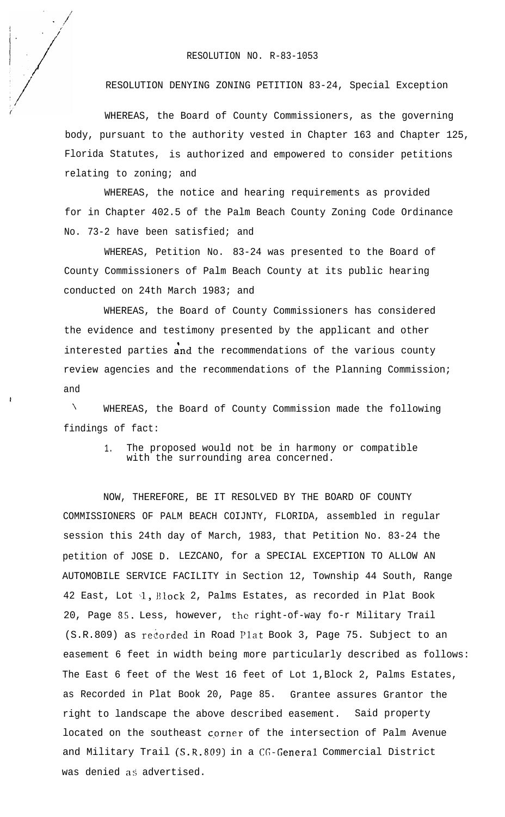## RESOLUTION NO. R-83-1053

RESOLUTION DENYING ZONING PETITION 83-24, Special Exception

WHEREAS, the Board of County Commissioners, as the governing body, pursuant to the authority vested in Chapter 163 and Chapter 125, Florida Statutes, is authorized and empowered to consider petitions relating to zoning; and

WHEREAS, the notice and hearing requirements as provided for in Chapter 402.5 of the Palm Beach County Zoning Code Ordinance No. 73-2 have been satisfied; and

WHEREAS, Petition No. 83-24 was presented to the Board of County Commissioners of Palm Beach County at its public hearing conducted on 24th March 1983; and

WHEREAS, the Board of County Commissioners has considered the evidence and testimony presented by the applicant and other interested parties and the recommendations of the various county review agencies and the recommendations of the Planning Commission; and

\ WHEREAS, the Board of County Commission made the following findings of fact:

> 1. The proposed would not be in harmony or compatible with the surrounding area concerned.

NOW, THEREFORE, BE IT RESOLVED BY THE BOARD OF COUNTY COMMISSIONERS OF PALM BEACH COIJNTY, FLORIDA, assembled in regular session this 24th day of March, 1983, that Petition No. 83-24 the petition of JOSE D. LEZCANO, for a SPECIAL EXCEPTION TO ALLOW AN AUTOMOBILE SERVICE FACILITY in Section 12, Township 44 South, Range 42 East, Lot 1, Block 2, Palms Estates, as recorded in Plat Book 20, Page 55. Less, however, the right-of-way fo-r Military Trail (S.R.809) as recorded in Road Plat Book 3, Page 75. Subject to an easement 6 feet in width being more particularly described as follows: The East 6 feet of the West 16 feet of Lot 1,Block 2, Palms Estates, as Recorded in Plat Book 20, Page 85. Grantee assures Grantor the right to landscape the above described easement. Said property located on the southeast corner of the intersection of Palm Avenue and Military Trail (S.R.809) in a CG-General Commercial District was denied as advertised.